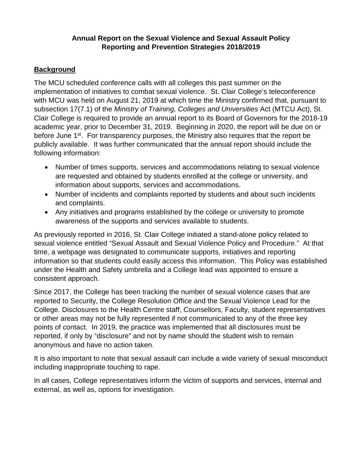## **Annual Report on the Sexual Violence and Sexual Assault Policy Reporting and Prevention Strategies 2018/2019**

# **Background**

The MCU scheduled conference calls with all colleges this past summer on the implementation of initiatives to combat sexual violence. St. Clair College's teleconference with MCU was held on August 21, 2019 at which time the Ministry confirmed that, pursuant to subsection 17(7.1) of the *Ministry of Training, Colleges and Universities* Act (MTCU Act), St. Clair College is required to provide an annual report to its Board of Governors for the 2018-19 academic year, prior to December 31, 2019. Beginning in 2020, the report will be due on or before June 1<sup>st</sup>. For transparency purposes, the Ministry also requires that the report be publicly available. It was further communicated that the annual report should include the following information:

- Number of times supports, services and accommodations relating to sexual violence are requested and obtained by students enrolled at the college or university, and information about supports, services and accommodations.
- Number of incidents and complaints reported by students and about such incidents and complaints.
- Any initiatives and programs established by the college or university to promote awareness of the supports and services available to students.

As previously reported in 2016, St. Clair College initiated a stand-alone policy related to sexual violence entitled "Sexual Assault and Sexual Violence Policy and Procedure." At that time, a webpage was designated to communicate supports, initiatives and reporting information so that students could easily access this information. This Policy was established under the Health and Safety umbrella and a College lead was appointed to ensure a consistent approach.

Since 2017, the College has been tracking the number of sexual violence cases that are reported to Security, the College Resolution Office and the Sexual Violence Lead for the College. Disclosures to the Health Centre staff, Counsellors, Faculty, student representatives or other areas may not be fully represented if not communicated to any of the three key points of contact. In 2019, the practice was implemented that all disclosures must be reported, if only by "disclosure" and not by name should the student wish to remain anonymous and have no action taken.

It is also important to note that sexual assault can include a wide variety of sexual misconduct including inappropriate touching to rape.

In all cases, College representatives inform the victim of supports and services, internal and external, as well as, options for investigation.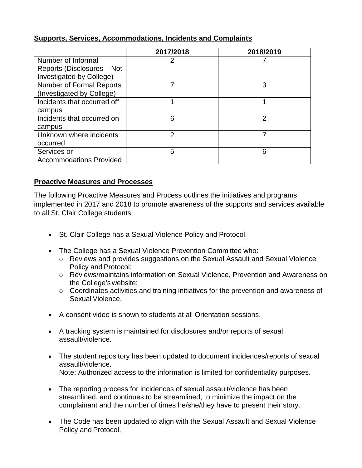|                                                              | 2017/2018 | 2018/2019 |
|--------------------------------------------------------------|-----------|-----------|
| Number of Informal                                           | 2         |           |
| Reports (Disclosures - Not<br>Investigated by College)       |           |           |
| <b>Number of Formal Reports</b><br>(Investigated by College) |           | 3         |
| Incidents that occurred off                                  |           |           |
| campus                                                       |           |           |
| Incidents that occurred on                                   | 6         | 2         |
| campus                                                       |           |           |
| Unknown where incidents                                      | 2         |           |
| occurred                                                     |           |           |
| Services or                                                  | 5         | 6         |
| <b>Accommodations Provided</b>                               |           |           |

# **Supports, Services, Accommodations, Incidents and Complaints**

#### **Proactive Measures and Processes**

The following Proactive Measures and Process outlines the initiatives and programs implemented in 2017 and 2018 to promote awareness of the supports and services available to all St. Clair College students.

- St. Clair College has a Sexual Violence Policy and Protocol.
- The College has a Sexual Violence Prevention Committee who:
	- o Reviews and provides suggestions on the Sexual Assault and Sexual Violence Policy and Protocol;
	- o Reviews/maintains information on Sexual Violence, Prevention and Awareness on the College's website;
	- o Coordinates activities and training initiatives for the prevention and awareness of Sexual Violence.
- A consent video is shown to students at all Orientation sessions.
- A tracking system is maintained for disclosures and/or reports of sexual assault/violence.
- The student repository has been updated to document incidences/reports of sexual assault/violence. Note: Authorized access to the information is limited for confidentiality purposes.
- The reporting process for incidences of sexual assault/violence has been streamlined, and continues to be streamlined, to minimize the impact on the complainant and the number of times he/she/they have to present their story.
- The Code has been updated to align with the Sexual Assault and Sexual Violence Policy and Protocol.